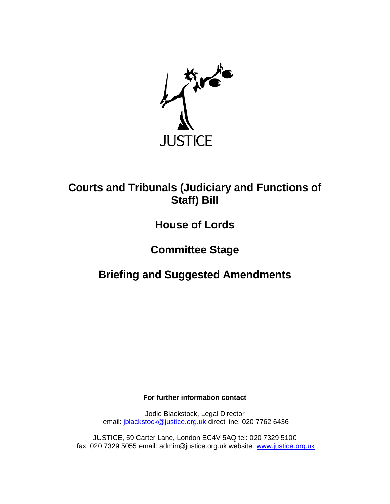

## **Courts and Tribunals (Judiciary and Functions of Staff) Bill**

## **House of Lords**

# **Committee Stage**

# **Briefing and Suggested Amendments**

**For further information contact**

Jodie Blackstock, Legal Director email: jblackstock@justice.org.uk direct line: 020 7762 6436

JUSTICE, 59 Carter Lane, London EC4V 5AQ tel: 020 7329 5100 fax: 020 7329 5055 email: admin@justice.org.uk website: [www.justice.org.uk](http://www.justice.org.uk/)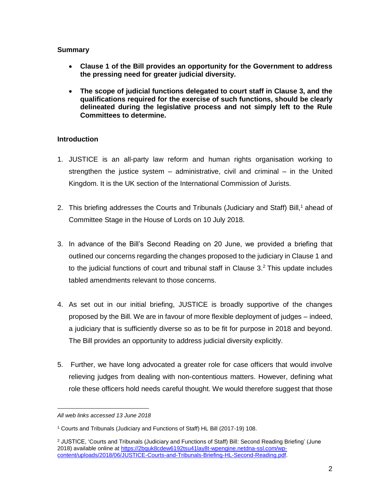## **Summary**

- **Clause 1 of the Bill provides an opportunity for the Government to address the pressing need for greater judicial diversity.**
- **The scope of judicial functions delegated to court staff in Clause 3, and the qualifications required for the exercise of such functions, should be clearly delineated during the legislative process and not simply left to the Rule Committees to determine.**

## **Introduction**

- 1. JUSTICE is an all-party law reform and human rights organisation working to strengthen the justice system – administrative, civil and criminal – in the United Kingdom. It is the UK section of the International Commission of Jurists.
- 2. This briefing addresses the Courts and Tribunals (Judiciary and Staff) Bill,<sup>1</sup> ahead of Committee Stage in the House of Lords on 10 July 2018.
- 3. In advance of the Bill's Second Reading on 20 June, we provided a briefing that outlined our concerns regarding the changes proposed to the judiciary in Clause 1 and to the judicial functions of court and tribunal staff in Clause  $3<sup>2</sup>$ . This update includes tabled amendments relevant to those concerns.
- 4. As set out in our initial briefing, JUSTICE is broadly supportive of the changes proposed by the Bill. We are in favour of more flexible deployment of judges – indeed, a judiciary that is sufficiently diverse so as to be fit for purpose in 2018 and beyond. The Bill provides an opportunity to address judicial diversity explicitly.
- 5. Further, we have long advocated a greater role for case officers that would involve relieving judges from dealing with non-contentious matters. However, defining what role these officers hold needs careful thought. We would therefore suggest that those

 $\overline{a}$ *All web links accessed 13 June 2018*

<sup>1</sup> Courts and Tribunals (Judiciary and Functions of Staff) HL Bill (2017-19) 108.

<sup>2</sup> JUSTICE, 'Courts and Tribunals (Judiciary and Functions of Staff) Bill: Second Reading Briefing' (June 2018) available online at [https://2bquk8cdew6192tsu41lay8t-wpengine.netdna-ssl.com/wp](https://2bquk8cdew6192tsu41lay8t-wpengine.netdna-ssl.com/wp-content/uploads/2018/06/JUSTICE-Courts-and-Tribunals-Briefing-HL-Second-Reading.pdf)[content/uploads/2018/06/JUSTICE-Courts-and-Tribunals-Briefing-HL-Second-Reading.pdf.](https://2bquk8cdew6192tsu41lay8t-wpengine.netdna-ssl.com/wp-content/uploads/2018/06/JUSTICE-Courts-and-Tribunals-Briefing-HL-Second-Reading.pdf)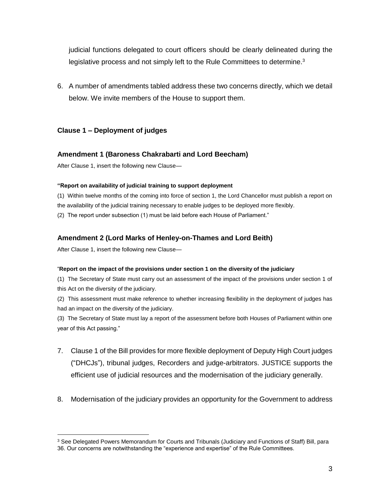judicial functions delegated to court officers should be clearly delineated during the legislative process and not simply left to the Rule Committees to determine.<sup>3</sup>

6. A number of amendments tabled address these two concerns directly, which we detail below. We invite members of the House to support them.

## **Clause 1 – Deployment of judges**

## **Amendment 1 (Baroness Chakrabarti and Lord Beecham)**

After Clause 1, insert the following new Clause—

#### **"Report on availability of judicial training to support deployment**

(1) Within twelve months of the coming into force of section 1, the Lord Chancellor must publish a report on

the availability of the judicial training necessary to enable judges to be deployed more flexibly.

(2) The report under subsection (1) must be laid before each House of Parliament."

## **Amendment 2 (Lord Marks of Henley-on-Thames and Lord Beith)**

After Clause 1, insert the following new Clause—

 $\overline{a}$ 

#### "**Report on the impact of the provisions under section 1 on the diversity of the judiciary**

(1) The Secretary of State must carry out an assessment of the impact of the provisions under section 1 of this Act on the diversity of the judiciary.

(2) This assessment must make reference to whether increasing flexibility in the deployment of judges has had an impact on the diversity of the judiciary.

(3) The Secretary of State must lay a report of the assessment before both Houses of Parliament within one year of this Act passing."

- 7. Clause 1 of the Bill provides for more flexible deployment of Deputy High Court judges ("DHCJs"), tribunal judges, Recorders and judge-arbitrators. JUSTICE supports the efficient use of judicial resources and the modernisation of the judiciary generally.
- 8. Modernisation of the judiciary provides an opportunity for the Government to address

<sup>&</sup>lt;sup>3</sup> See Delegated Powers Memorandum for Courts and Tribunals (Judiciary and Functions of Staff) Bill, para 36. Our concerns are notwithstanding the "experience and expertise" of the Rule Committees.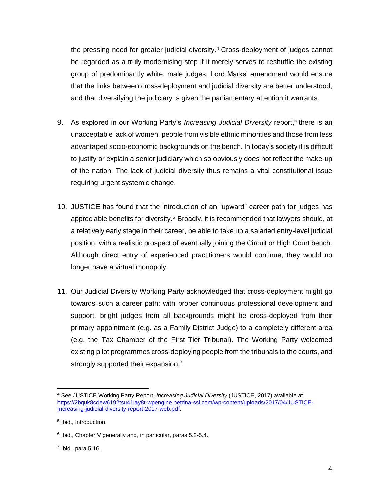the pressing need for greater judicial diversity. <sup>4</sup> Cross-deployment of judges cannot be regarded as a truly modernising step if it merely serves to reshuffle the existing group of predominantly white, male judges. Lord Marks' amendment would ensure that the links between cross-deployment and judicial diversity are better understood, and that diversifying the judiciary is given the parliamentary attention it warrants.

- 9. As explored in our Working Party's *Increasing Judicial Diversity* report,<sup>5</sup> there is an unacceptable lack of women, people from visible ethnic minorities and those from less advantaged socio-economic backgrounds on the bench. In today's society it is difficult to justify or explain a senior judiciary which so obviously does not reflect the make-up of the nation. The lack of judicial diversity thus remains a vital constitutional issue requiring urgent systemic change.
- 10. JUSTICE has found that the introduction of an "upward" career path for judges has appreciable benefits for diversity.<sup>6</sup> Broadly, it is recommended that lawyers should, at a relatively early stage in their career, be able to take up a salaried entry-level judicial position, with a realistic prospect of eventually joining the Circuit or High Court bench. Although direct entry of experienced practitioners would continue, they would no longer have a virtual monopoly.
- 11. Our Judicial Diversity Working Party acknowledged that cross-deployment might go towards such a career path: with proper continuous professional development and support, bright judges from all backgrounds might be cross-deployed from their primary appointment (e.g. as a Family District Judge) to a completely different area (e.g. the Tax Chamber of the First Tier Tribunal). The Working Party welcomed existing pilot programmes cross-deploying people from the tribunals to the courts, and strongly supported their expansion.<sup>7</sup>

 $\overline{a}$ <sup>4</sup> See JUSTICE Working Party Report, *Increasing Judicial Diversity* (JUSTICE, 2017) available at [https://2bquk8cdew6192tsu41lay8t-wpengine.netdna-ssl.com/wp-content/uploads/2017/04/JUSTICE-](https://2bquk8cdew6192tsu41lay8t-wpengine.netdna-ssl.com/wp-content/uploads/2017/04/JUSTICE-Increasing-judicial-diversity-report-2017-web.pdf)[Increasing-judicial-diversity-report-2017-web.pdf.](https://2bquk8cdew6192tsu41lay8t-wpengine.netdna-ssl.com/wp-content/uploads/2017/04/JUSTICE-Increasing-judicial-diversity-report-2017-web.pdf)

<sup>5</sup> Ibid., Introduction.

<sup>6</sup> Ibid., Chapter V generally and, in particular, paras 5.2-5.4.

<sup>7</sup> Ibid., para 5.16.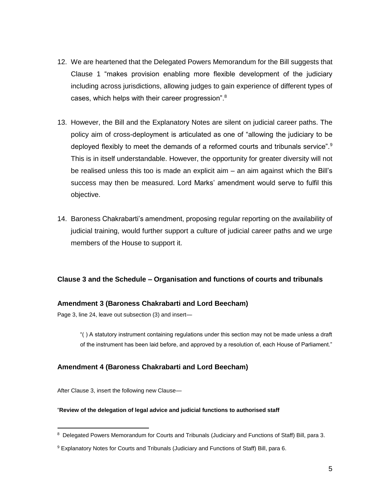- 12. We are heartened that the Delegated Powers Memorandum for the Bill suggests that Clause 1 "makes provision enabling more flexible development of the judiciary including across jurisdictions, allowing judges to gain experience of different types of cases, which helps with their career progression".<sup>8</sup>
- 13. However, the Bill and the Explanatory Notes are silent on judicial career paths. The policy aim of cross-deployment is articulated as one of "allowing the judiciary to be deployed flexibly to meet the demands of a reformed courts and tribunals service".<sup>9</sup> This is in itself understandable. However, the opportunity for greater diversity will not be realised unless this too is made an explicit aim – an aim against which the Bill's success may then be measured. Lord Marks' amendment would serve to fulfil this objective.
- 14. Baroness Chakrabarti's amendment, proposing regular reporting on the availability of judicial training, would further support a culture of judicial career paths and we urge members of the House to support it.

## **Clause 3 and the Schedule – Organisation and functions of courts and tribunals**

### **Amendment 3 (Baroness Chakrabarti and Lord Beecham)**

Page 3, line 24, leave out subsection (3) and insert—

"( ) A statutory instrument containing regulations under this section may not be made unless a draft of the instrument has been laid before, and approved by a resolution of, each House of Parliament."

## **Amendment 4 (Baroness Chakrabarti and Lord Beecham)**

After Clause 3, insert the following new Clause—

#### "**Review of the delegation of legal advice and judicial functions to authorised staff**

 $\overline{a}$ <sup>8</sup> Delegated Powers Memorandum for Courts and Tribunals (Judiciary and Functions of Staff) Bill, para 3.

<sup>9</sup> Explanatory Notes for Courts and Tribunals (Judiciary and Functions of Staff) Bill, para 6.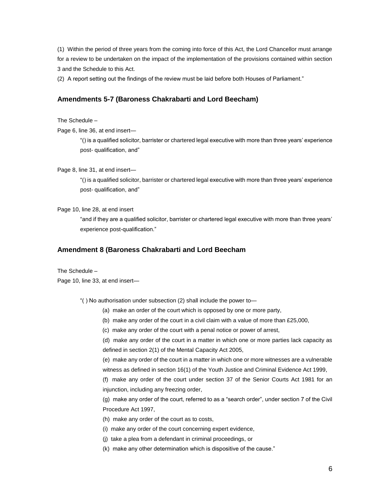(1) Within the period of three years from the coming into force of this Act, the Lord Chancellor must arrange for a review to be undertaken on the impact of the implementation of the provisions contained within section 3 and the Schedule to this Act.

(2) A report setting out the findings of the review must be laid before both Houses of Parliament."

#### **Amendments 5-7 (Baroness Chakrabarti and Lord Beecham)**

The Schedule –

Page 6, line 36, at end insert—

"() is a qualified solicitor, barrister or chartered legal executive with more than three years' experience post- qualification, and"

Page 8, line 31, at end insert—

"() is a qualified solicitor, barrister or chartered legal executive with more than three years' experience post- qualification, and"

Page 10, line 28, at end insert

"and if they are a qualified solicitor, barrister or chartered legal executive with more than three years' experience post-qualification."

#### **Amendment 8 (Baroness Chakrabarti and Lord Beecham**

The Schedule –

Page 10, line 33, at end insert—

- "( ) No authorisation under subsection (2) shall include the power to—
	- (a) make an order of the court which is opposed by one or more party,
	- (b) make any order of the court in a civil claim with a value of more than £25,000,
	- (c) make any order of the court with a penal notice or power of arrest,
	- (d) make any order of the court in a matter in which one or more parties lack capacity as defined in section 2(1) of the Mental Capacity Act 2005,

(e) make any order of the court in a matter in which one or more witnesses are a vulnerable witness as defined in section 16(1) of the Youth Justice and Criminal Evidence Act 1999,

(f) make any order of the court under section 37 of the Senior Courts Act 1981 for an injunction, including any freezing order,

(g) make any order of the court, referred to as a "search order", under section 7 of the Civil Procedure Act 1997,

- (h) make any order of the court as to costs,
- (i) make any order of the court concerning expert evidence,
- (j) take a plea from a defendant in criminal proceedings, or
- (k) make any other determination which is dispositive of the cause."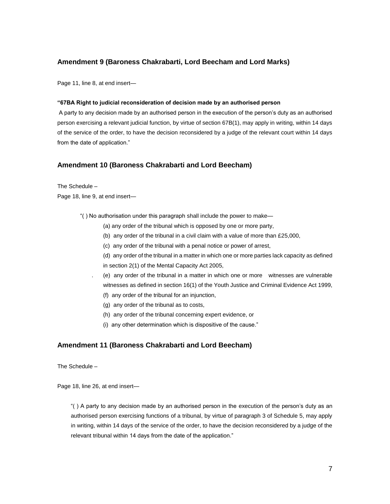### **Amendment 9 (Baroness Chakrabarti, Lord Beecham and Lord Marks)**

Page 11, line 8, at end insert—

#### **"67BA Right to judicial reconsideration of decision made by an authorised person**

A party to any decision made by an authorised person in the execution of the person's duty as an authorised person exercising a relevant judicial function, by virtue of section 67B(1), may apply in writing, within 14 days of the service of the order, to have the decision reconsidered by a judge of the relevant court within 14 days from the date of application."

#### **Amendment 10 (Baroness Chakrabarti and Lord Beecham)**

The Schedule – Page 18, line 9, at end insert—

- "( ) No authorisation under this paragraph shall include the power to make—
	- (a) any order of the tribunal which is opposed by one or more party,
	- (b) any order of the tribunal in a civil claim with a value of more than £25,000,
	- (c) any order of the tribunal with a penal notice or power of arrest,
	- (d) any order of the tribunal in a matter in which one or more parties lack capacity as defined in section 2(1) of the Mental Capacity Act 2005,
	- . (e) any order of the tribunal in a matter in which one or more witnesses are vulnerable witnesses as defined in section 16(1) of the Youth Justice and Criminal Evidence Act 1999, (f) any order of the tribunal for an injunction,
		- (g) any order of the tribunal as to costs,
		- (h) any order of the tribunal concerning expert evidence, or
		- (i) any other determination which is dispositive of the cause."

#### **Amendment 11 (Baroness Chakrabarti and Lord Beecham)**

The Schedule –

Page 18, line 26, at end insert—

"( ) A party to any decision made by an authorised person in the execution of the person's duty as an authorised person exercising functions of a tribunal, by virtue of paragraph 3 of Schedule 5, may apply in writing, within 14 days of the service of the order, to have the decision reconsidered by a judge of the relevant tribunal within 14 days from the date of the application."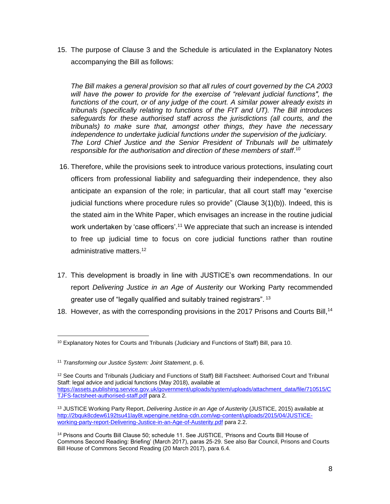15. The purpose of Clause 3 and the Schedule is articulated in the Explanatory Notes accompanying the Bill as follows:

*The Bill makes a general provision so that all rules of court governed by the CA 2003 will have the power to provide for the exercise of "relevant judicial functions", the functions of the court, or of any judge of the court. A similar power already exists in tribunals (specifically relating to functions of the FtT and UT). The Bill introduces safeguards for these authorised staff across the jurisdictions (all courts, and the tribunals) to make sure that, amongst other things, they have the necessary independence to undertake judicial functions under the supervision of the judiciary. The Lord Chief Justice and the Senior President of Tribunals will be ultimately responsible for the authorisation and direction of these members of staff*. 10

- 16. Therefore, while the provisions seek to introduce various protections, insulating court officers from professional liability and safeguarding their independence, they also anticipate an expansion of the role; in particular, that all court staff may "exercise judicial functions where procedure rules so provide" (Clause 3(1)(b)). Indeed, this is the stated aim in the White Paper, which envisages an increase in the routine judicial work undertaken by 'case officers'.<sup>11</sup> We appreciate that such an increase is intended to free up judicial time to focus on core judicial functions rather than routine administrative matters.<sup>12</sup>
- 17. This development is broadly in line with JUSTICE's own recommendations. In our report *Delivering Justice in an Age of Austerity* our Working Party recommended greater use of "legally qualified and suitably trained registrars". <sup>13</sup>
- 18. However, as with the corresponding provisions in the 2017 Prisons and Courts Bill,<sup>14</sup>

 $\overline{a}$ <sup>10</sup> Explanatory Notes for Courts and Tribunals (Judiciary and Functions of Staff) Bill, para 10.

<sup>11</sup> *Transforming our Justice System: Joint Statement*, p. 6.

<sup>&</sup>lt;sup>12</sup> See Courts and Tribunals (Judiciary and Functions of Staff) Bill Factsheet: Authorised Court and Tribunal Staff: legal advice and judicial functions (May 2018), available at [https://assets.publishing.service.gov.uk/government/uploads/system/uploads/attachment\\_data/file/710515/C](https://assets.publishing.service.gov.uk/government/uploads/system/uploads/attachment_data/file/710515/CTJFS-factsheet-authorised-staff.pdf) [TJFS-factsheet-authorised-staff.pdf](https://assets.publishing.service.gov.uk/government/uploads/system/uploads/attachment_data/file/710515/CTJFS-factsheet-authorised-staff.pdf) para 2.

<sup>13</sup> JUSTICE Working Party Report, *Delivering Justice in an Age of Austerity* (JUSTICE, 2015) available at [http://2bquk8cdew6192tsu41lay8t.wpengine.netdna-cdn.com/wp-content/uploads/2015/04/JUSTICE](http://2bquk8cdew6192tsu41lay8t.wpengine.netdna-cdn.com/wp-content/uploads/2015/04/JUSTICE-working-party-report-Delivering-Justice-in-an-Age-of-Austerity.pdf)[working-party-report-Delivering-Justice-in-an-Age-of-Austerity.pdf](http://2bquk8cdew6192tsu41lay8t.wpengine.netdna-cdn.com/wp-content/uploads/2015/04/JUSTICE-working-party-report-Delivering-Justice-in-an-Age-of-Austerity.pdf) para 2.2.

<sup>&</sup>lt;sup>14</sup> Prisons and Courts Bill Clause 50; schedule 11, See JUSTICE, 'Prisons and Courts Bill House of Commons Second Reading: Briefing' (March 2017), paras 25-29. See also Bar Council, Prisons and Courts Bill House of Commons Second Reading (20 March 2017), para 6.4.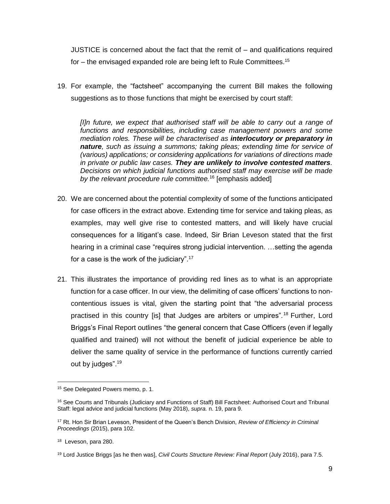JUSTICE is concerned about the fact that the remit of – and qualifications required for  $-$  the envisaged expanded role are being left to Rule Committees.<sup>15</sup>

19. For example, the "factsheet" accompanying the current Bill makes the following suggestions as to those functions that might be exercised by court staff:

*[I]n future, we expect that authorised staff will be able to carry out a range of functions and responsibilities, including case management powers and some mediation roles. These will be characterised as interlocutory or preparatory in nature, such as issuing a summons; taking pleas; extending time for service of (various) applications; or considering applications for variations of directions made in private or public law cases. They are unlikely to involve contested matters. Decisions on which judicial functions authorised staff may exercise will be made by the relevant procedure rule committee.*<sup>16</sup> [emphasis added]

- 20. We are concerned about the potential complexity of some of the functions anticipated for case officers in the extract above. Extending time for service and taking pleas, as examples, may well give rise to contested matters, and will likely have crucial consequences for a litigant's case. Indeed, Sir Brian Leveson stated that the first hearing in a criminal case "requires strong judicial intervention. ... setting the agenda for a case is the work of the judiciary".<sup>17</sup>
- 21. This illustrates the importance of providing red lines as to what is an appropriate function for a case officer. In our view, the delimiting of case officers' functions to noncontentious issues is vital, given the starting point that "the adversarial process practised in this country [is] that Judges are arbiters or umpires".<sup>18</sup> Further, Lord Briggs's Final Report outlines "the general concern that Case Officers (even if legally qualified and trained) will not without the benefit of judicial experience be able to deliver the same quality of service in the performance of functions currently carried out by judges".<sup>19</sup>

 $\overline{a}$ <sup>15</sup> See Delegated Powers memo, p. 1.

<sup>16</sup> See Courts and Tribunals (Judiciary and Functions of Staff) Bill Factsheet: Authorised Court and Tribunal Staff: legal advice and judicial functions (May 2018), *supra.* n. 19, para 9.

<sup>17</sup> Rt. Hon Sir Brian Leveson, President of the Queen's Bench Division, *Review of Efficiency in Criminal Proceedings* (2015), para 102.

<sup>&</sup>lt;sup>18</sup> Leveson, para 280.

<sup>19</sup> Lord Justice Briggs [as he then was], *Civil Courts Structure Review: Final Report* (July 2016), para 7.5.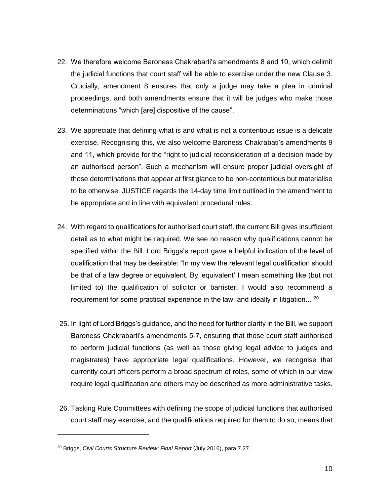- 22. We therefore welcome Baroness Chakrabarti's amendments 8 and 10, which delimit the judicial functions that court staff will be able to exercise under the new Clause 3. Crucially, amendment 8 ensures that only a judge may take a plea in criminal proceedings, and both amendments ensure that it will be judges who make those determinations "which [are] dispositive of the cause".
- 23. We appreciate that defining what is and what is not a contentious issue is a delicate exercise. Recognising this, we also welcome Baroness Chakrabati's amendments 9 and 11, which provide for the "right to judicial reconsideration of a decision made by an authorised person". Such a mechanism will ensure proper judicial oversight of those determinations that appear at first glance to be non-contentious but materialise to be otherwise. JUSTICE regards the 14-day time limit outlined in the amendment to be appropriate and in line with equivalent procedural rules.
- 24. With regard to qualifications for authorised court staff, the current Bill gives insufficient detail as to what might be required. We see no reason why qualifications cannot be specified within the Bill. Lord Briggs's report gave a helpful indication of the level of qualification that may be desirable: "In my view the relevant legal qualification should be that of a law degree or equivalent. By 'equivalent' I mean something like (but not limited to) the qualification of solicitor or barrister. I would also recommend a requirement for some practical experience in the law, and ideally in litigation..."<sup>20</sup>
- 25. In light of Lord Briggs's guidance, and the need for further clarity in the Bill, we support Baroness Chakrabarti's amendments 5-7, ensuring that those court staff authorised to perform judicial functions (as well as those giving legal advice to judges and magistrates) have appropriate legal qualifications. However, we recognise that currently court officers perform a broad spectrum of roles, some of which in our view require legal qualification and others may be described as more administrative tasks.
- 26. Tasking Rule Committees with defining the scope of judicial functions that authorised court staff may exercise, and the qualifications required for them to do so, means that

 $\overline{a}$ 

<sup>20</sup> Briggs, *Civil Courts Structure Review: Final Report* (July 2016), para 7.27.